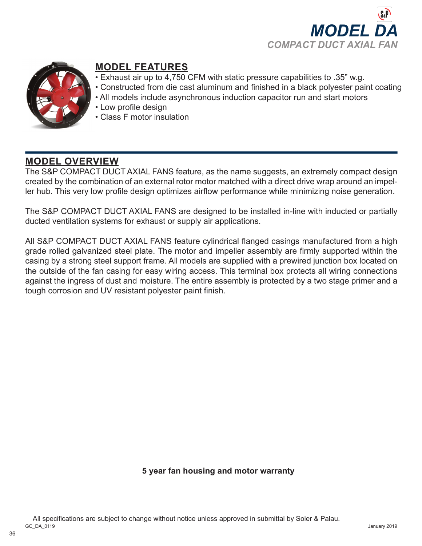



# **MODEL FEATURES**

- Exhaust air up to 4,750 CFM with static pressure capabilities to .35" w.g.
- Constructed from die cast aluminum and finished in a black polyester paint coating
- All models include asynchronous induction capacitor run and start motors
- Low profile design
- Class F motor insulation

# **MODEL OVERVIEW**

The S&P COMPACT DUCT AXIAL FANS feature, as the name suggests, an extremely compact design created by the combination of an external rotor motor matched with a direct drive wrap around an impeller hub. This very low profile design optimizes airflow performance while minimizing noise generation.

The S&P COMPACT DUCT AXIAL FANS are designed to be installed in-line with inducted or partially ducted ventilation systems for exhaust or supply air applications.

All S&P COMPACT DUCT AXIAL FANS feature cylindrical flanged casings manufactured from a high grade rolled galvanized steel plate. The motor and impeller assembly are firmly supported within the casing by a strong steel support frame. All models are supplied with a prewired junction box located on the outside of the fan casing for easy wiring access. This terminal box protects all wiring connections against the ingress of dust and moisture. The entire assembly is protected by a two stage primer and a tough corrosion and UV resistant polyester paint finish.

**5 year fan housing and motor warranty**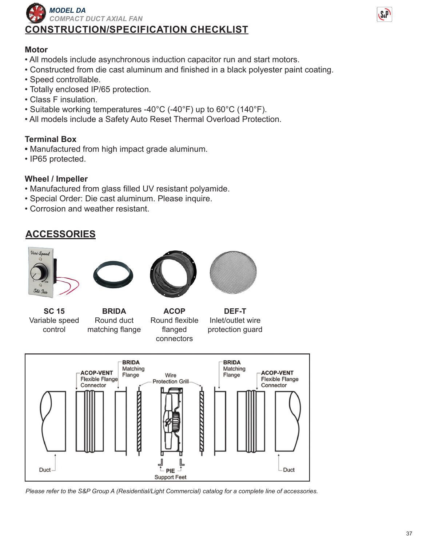



### **Motor**

- All models include asynchronous induction capacitor run and start motors.
- Constructed from die cast aluminum and finished in a black polyester paint coating.
- Speed controllable.
- Totally enclosed IP/65 protection.
- Class F insulation.
- Suitable working temperatures -40°C (-40°F) up to 60°C (140°F).
- All models include a Safety Auto Reset Thermal Overload Protection.

### **Terminal Box**

- Manufactured from high impact grade aluminum.
- IP65 protected.

### **Wheel / Impeller**

- Manufactured from glass filled UV resistant polyamide.
- Special Order: Die cast aluminum. Please inquire.
- Corrosion and weather resistant.

# **ACCESSORIES**









**SC 15** Variable speed control

**BRIDA** Round duct matching flange

**ACOP** Round flexible flanged connectors

**DEF-T** Inlet/outlet wire protection guard



*Please refer to the S&P Group A (Residential/Light Commercial) catalog for a complete line of accessories.*